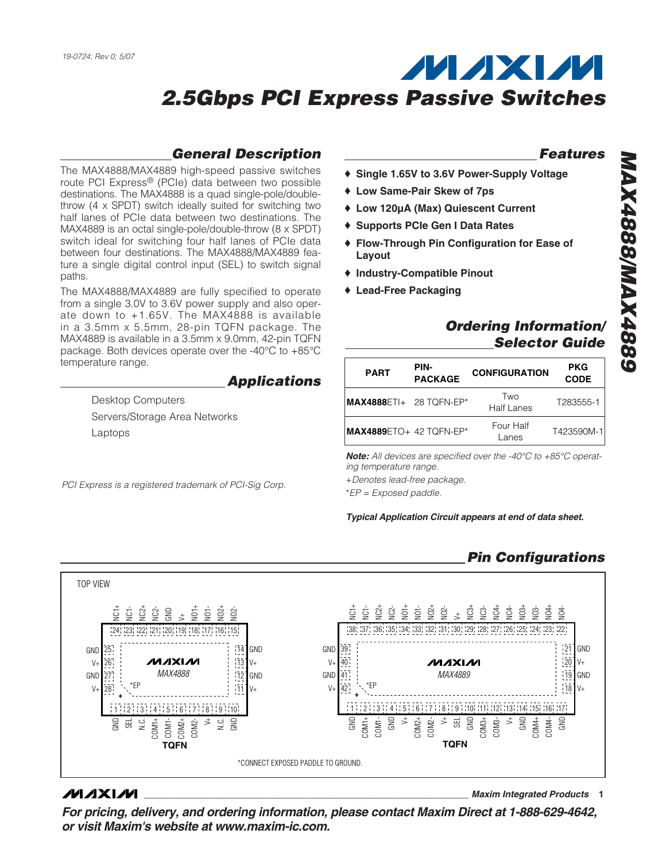### **General Description**

The MAX4888/MAX4889 high-speed passive switches route PCI Express® (PCIe) data between two possible destinations. The MAX4888 is a quad single-pole/doublethrow (4 x SPDT) switch ideally suited for switching two half lanes of PCIe data between two destinations. The MAX4889 is an octal single-pole/double-throw (8 x SPDT) switch ideal for switching four half lanes of PCIe data between four destinations. The MAX4888/MAX4889 feature a single digital control input (SEL) to switch signal paths.

The MAX4888/MAX4889 are fully specified to operate from a single 3.0V to 3.6V power supply and also operate down to +1.65V. The MAX4888 is available in a 3.5mm x 5.5mm, 28-pin TQFN package. The MAX4889 is available in a 3.5mm x 9.0mm, 42-pin TQFN package. Both devices operate over the -40°C to +85°C temperature range.

#### **Applications**

Desktop Computers Servers/Storage Area Networks Laptops

PCI Express is a registered trademark of PCI-Sig Corp.

#### **Features**

- ♦ **Single 1.65V to 3.6V Power-Supply Voltage**
- ♦ **Low Same-Pair Skew of 7ps**
- ♦ **Low 120µA (Max) Quiescent Current**
- ♦ **Supports PCIe Gen I Data Rates**
- ♦ **Flow-Through Pin Configuration for Ease of Layout**
- ♦ **Industry-Compatible Pinout**
- ♦ **Lead-Free Packaging**

### **Ordering Information/ Selector Guide**

| <b>PART</b>                      | PIN-<br><b>PACKAGE</b> | <b>CONFIGURATION</b> | <b>PKG</b><br><b>CODE</b> |
|----------------------------------|------------------------|----------------------|---------------------------|
| <b>MAX4888ETI+ 28 TQFN-EP*</b>   |                        | Two<br>Half Lanes    | T283555-1                 |
| <b>IMAX4889</b> ETO+ 42 TQFN-EP* |                        | Four Half<br>Lanes   | T423590M-1                |

**Note:** All devices are specified over the -40°C to +85°C operating temperature range.

+Denotes lead-free package.

\*EP = Exposed paddle.

**Typical Application Circuit appears at end of data sheet.**

### **Pin Configurations**



#### **MAXM**

**\_\_\_\_\_\_\_\_\_\_\_\_\_\_\_\_\_\_\_\_\_\_\_\_\_\_\_\_\_\_\_\_\_\_\_\_\_\_\_\_\_\_\_\_\_\_\_\_\_\_\_\_\_\_\_\_\_\_\_\_\_\_\_\_ Maxim Integrated Products 1**

**For pricing, delivery, and ordering information, please contact Maxim Direct at 1-888-629-4642, or visit Maxim's website at www.maxim-ic.com.**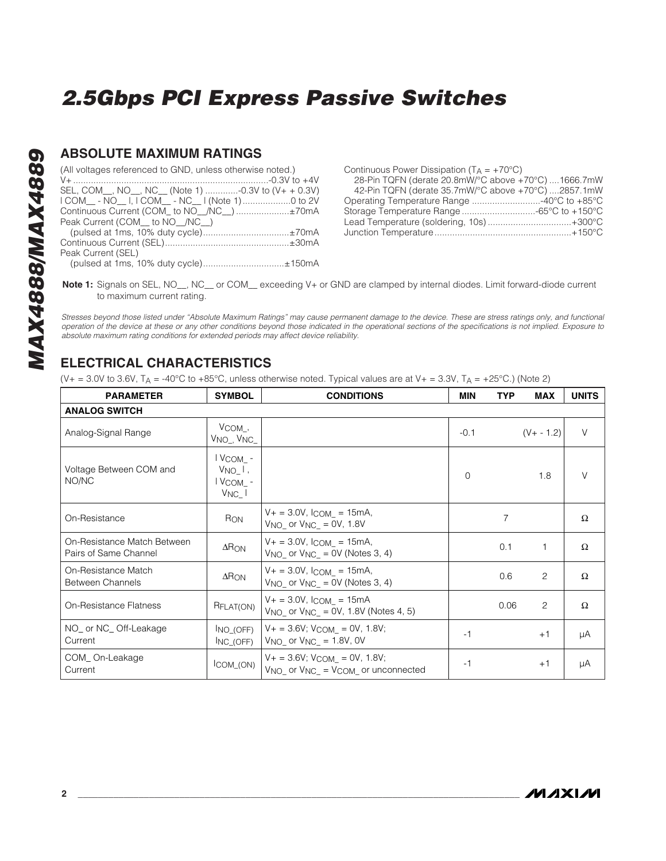#### **ABSOLUTE MAXIMUM RATINGS**

| (All voltages referenced to GND, unless otherwise noted.) |  |
|-----------------------------------------------------------|--|
|                                                           |  |
| SEL, COM_, NO_, NC_ (Note 1) -0.3V to (V+ + 0.3V)         |  |
| I COM__ - NO__ I, I COM__ - NC__ I (Note 1) 0 to 2V       |  |
| Continuous Current (COM_ to NO_/NC_) ±70mA                |  |
| Peak Current (COM __ to NO __/NC __)                      |  |
| (pulsed at 1ms, 10% duty cycle)±70mA                      |  |
|                                                           |  |
| Peak Current (SEL)                                        |  |
|                                                           |  |

(pulsed at 1ms, 10% duty cycle)................................±150mA

Continuous Power Dissipation  $(T_A = +70^{\circ}C)$ 28-Pin TQFN (derate 20.8mW/°C above +70°C) ....1666.7mW 42-Pin TQFN (derate 35.7mW/°C above +70°C) ....2857.1mW Operating Temperature Range ...........................-40°C to +85°C Storage Temperature Range .............................-65°C to +150°C Lead Temperature (soldering, 10s) .................................+300°C Junction Temperature......................................................+150°C

**Note 1:** Signals on SEL, NO , NC or COM exceeding V+ or GND are clamped by internal diodes. Limit forward-diode current to maximum current rating.

Stresses beyond those listed under "Absolute Maximum Ratings" may cause permanent damage to the device. These are stress ratings only, and functional operation of the device at these or any other conditions beyond those indicated in the operational sections of the specifications is not implied. Exposure to absolute maximum rating conditions for extended periods may affect device reliability.

### **ELECTRICAL CHARACTERISTICS**

(V+ = 3.0V to 3.6V,  $T_A = -40^{\circ}$ C to +85°C, unless otherwise noted. Typical values are at V+ = 3.3V,  $T_A = +25^{\circ}$ C.) (Note 2)

| <b>PARAMETER</b>                                     | <b>SYMBOL</b>                                      | <b>CONDITIONS</b>                                                                        | MIN      | TYP  | MAX            | <b>UNITS</b> |
|------------------------------------------------------|----------------------------------------------------|------------------------------------------------------------------------------------------|----------|------|----------------|--------------|
| <b>ANALOG SWITCH</b>                                 |                                                    |                                                                                          |          |      |                |              |
| Analog-Signal Range                                  | $V_{COM}$ ,<br>V <sub>NO_</sub> , V <sub>NC_</sub> |                                                                                          | $-0.1$   |      | $(V + - 1.2)$  | $\vee$       |
| Voltage Between COM and<br>NO/NC                     | I VCOM -<br>$V_{NO}$ ,<br>I VCOM -<br>$V_{NC}$     |                                                                                          | $\Omega$ |      | 1.8            | $\vee$       |
| On-Resistance                                        | R <sub>ON</sub>                                    | $V_+ = 3.0V$ , $l_{COM} = 15mA$ ,<br>$V_{NO}$ or $V_{NC}$ = 0V, 1.8V                     |          | 7    |                | Ω            |
| On-Resistance Match Between<br>Pairs of Same Channel | $\Delta \mathsf{RON}$                              | $V_+ = 3.0V$ , $l_{COM} = 15mA$ ,<br>$V_{NO}$ or $V_{NC}$ = 0V (Notes 3, 4)              |          | 0.1  |                | $\Omega$     |
| On-Resistance Match<br><b>Between Channels</b>       | $\Delta$ RON                                       | $V_+ = 3.0V$ , $l_{COM} = 15mA$ ,<br>$V_{NO}$ or $V_{NC}$ = 0V (Notes 3, 4)              |          | 0.6  | $\overline{c}$ | $\Omega$     |
| <b>On-Resistance Flatness</b>                        | RFLAT(ON)                                          | $V_+ = 3.0V$ , $l_{COM} = 15mA$<br>$V_{NO}$ or $V_{NC}$ = 0V, 1.8V (Notes 4, 5)          |          | 0.06 | $\overline{c}$ | $\Omega$     |
| NO_ or NC_ Off-Leakage<br>Current                    | INO (OFF)<br>INC (OFF)                             | $V_+ = 3.6V$ ; $V_{COM} = 0V$ , 1.8V;<br>$V_{NO}$ or $V_{NC}$ = 1.8V, 0V                 | -1       |      | $+1$           | μA           |
| COM_On-Leakage<br>Current                            | ICOM (ON)                                          | $V_+ = 3.6V$ ; $V_{COM} = 0V$ , 1.8V;<br>$V_{NO}$ or $V_{NC}$ = $V_{COM}$ or unconnected | -1       |      | $+1$           | μA           |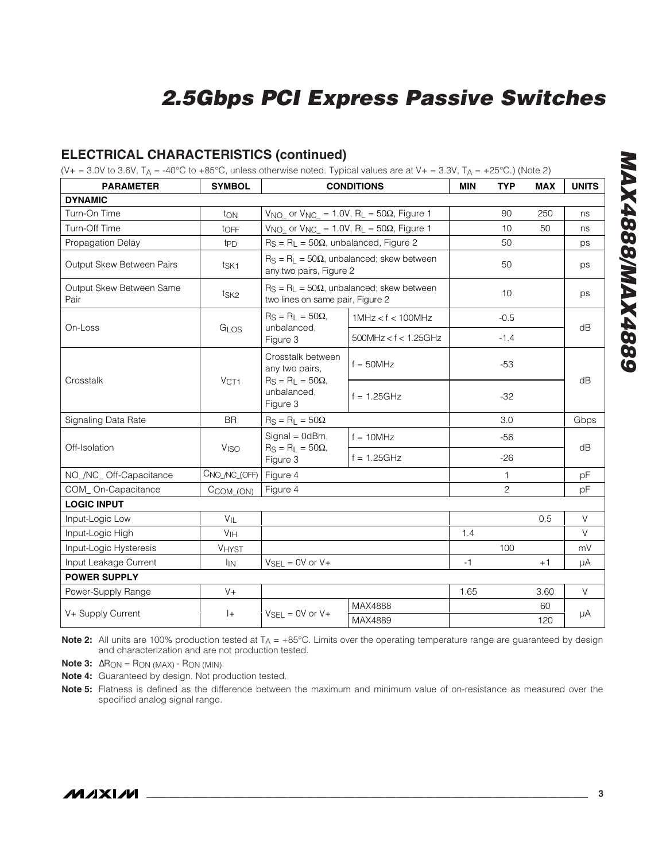### **ELECTRICAL CHARACTERISTICS (continued)**

(V+ = 3.0V to 3.6V,  $T_A$  = -40°C to +85°C, unless otherwise noted. Typical values are at V+ = 3.3V,  $T_A$  = +25°C.) (Note 2)

| <b>PARAMETER</b>                 | <b>SYMBOL</b>          | <b>CONDITIONS</b>                                                    | <b>MIN</b>                                                           | <b>TYP</b> | <b>MAX</b>     | <b>UNITS</b> |        |
|----------------------------------|------------------------|----------------------------------------------------------------------|----------------------------------------------------------------------|------------|----------------|--------------|--------|
| <b>DYNAMIC</b>                   |                        |                                                                      |                                                                      |            |                |              |        |
| Turn-On Time                     | ton                    |                                                                      | $V_{NO}$ or $V_{NC}$ = 1.0V, R <sub>L</sub> = 50 $\Omega$ , Figure 1 |            | 90             | 250          | ns     |
| Turn-Off Time                    | tOFF                   | $V_{NO}$ or $V_{NC}$ = 1.0V, R <sub>L</sub> = 50 $\Omega$ , Figure 1 |                                                                      |            | 10             | 50           | ns     |
| Propagation Delay                | t <sub>PD</sub>        | $R_S = R_L = 50\Omega$ , unbalanced, Figure 2                        |                                                                      |            | 50             |              | ps     |
| Output Skew Between Pairs        | t <sub>SK1</sub>       | any two pairs, Figure 2                                              | $R_S = R_L = 50\Omega$ , unbalanced; skew between                    |            | 50             |              | ps     |
| Output Skew Between Same<br>Pair | t <sub>SK2</sub>       | two lines on same pair, Figure 2                                     | $R_S = R_L = 50\Omega$ , unbalanced; skew between                    |            | 10             |              | ps     |
| On-Loss                          | GLOS                   | $R_S = R_L = 50\Omega$ ,<br>unbalanced,                              | 1MHz < f < 100MHz                                                    | $-0.5$     |                |              | dB     |
|                                  |                        | Figure 3                                                             | $500$ MHz < $f$ < 1.25GHz                                            |            | $-1.4$         |              |        |
|                                  |                        | Crosstalk between<br>any two pairs,                                  | $f = 50$ MHz                                                         |            | $-53$          |              |        |
| Crosstalk                        | VCT1                   | $R_S = R_L = 50\Omega,$<br>unbalanced,<br>Figure 3                   | $f = 1.25$ GHz                                                       | $-32$      |                |              |        |
| Signaling Data Rate              | <b>BR</b>              | $R_S = R_L = 50\Omega$                                               |                                                                      |            | 3.0            |              | Gbps   |
|                                  |                        | $Signal = OdBm$ ,                                                    | $f = 10$ MHz                                                         |            | $-56$          |              | dB     |
| Off-Isolation                    | <b>V<sub>ISO</sub></b> | $R_S = R_L = 50\Omega$ ,<br>Figure 3                                 | $f = 1.25$ GHz                                                       |            | $-26$          |              | dB     |
| NO_/NC_Off-Capacitance           | CNO_/NC_(OFF)          | Figure 4                                                             |                                                                      |            | 1              |              | pF     |
| COM_On-Capacitance               | $CCOM_ (ON)$           | Figure 4                                                             |                                                                      |            | $\overline{c}$ |              | pF     |
| <b>LOGIC INPUT</b>               |                        |                                                                      |                                                                      |            |                |              |        |
| Input-Logic Low                  | VIL                    |                                                                      |                                                                      |            |                | 0.5          | $\vee$ |
| Input-Logic High                 | V <sub>IH</sub>        |                                                                      |                                                                      | 1.4        |                |              | $\vee$ |
| Input-Logic Hysteresis           | <b>VHYST</b>           |                                                                      |                                                                      |            | 100            |              | mV     |
| Input Leakage Current            | $I_{IN}$               | $V_{\text{SEL}} = 0V$ or $V +$                                       |                                                                      | $-1$       |                | $+1$         | μA     |
| <b>POWER SUPPLY</b>              |                        |                                                                      |                                                                      |            |                |              |        |
| Power-Supply Range               | $V +$                  |                                                                      |                                                                      | 1.65       |                | 3.60         | $\vee$ |
|                                  | $ +$                   | $V_{\text{SEL}} = 0V$ or $V +$                                       | MAX4888                                                              |            |                | 60           |        |
| V+ Supply Current                |                        |                                                                      |                                                                      |            | 120            | μA           |        |

**Note 2:** All units are 100% production tested at T<sub>A</sub> = +85°C. Limits over the operating temperature range are guaranteed by design and characterization and are not production tested.

**Note 3:** ΔR<sub>ON</sub> = R<sub>ON</sub> (MAX) - R<sub>ON</sub> (MIN).

**Note 4:** Guaranteed by design. Not production tested.

**Note 5:** Flatness is defined as the difference between the maximum and minimum value of on-resistance as measured over the specified analog signal range.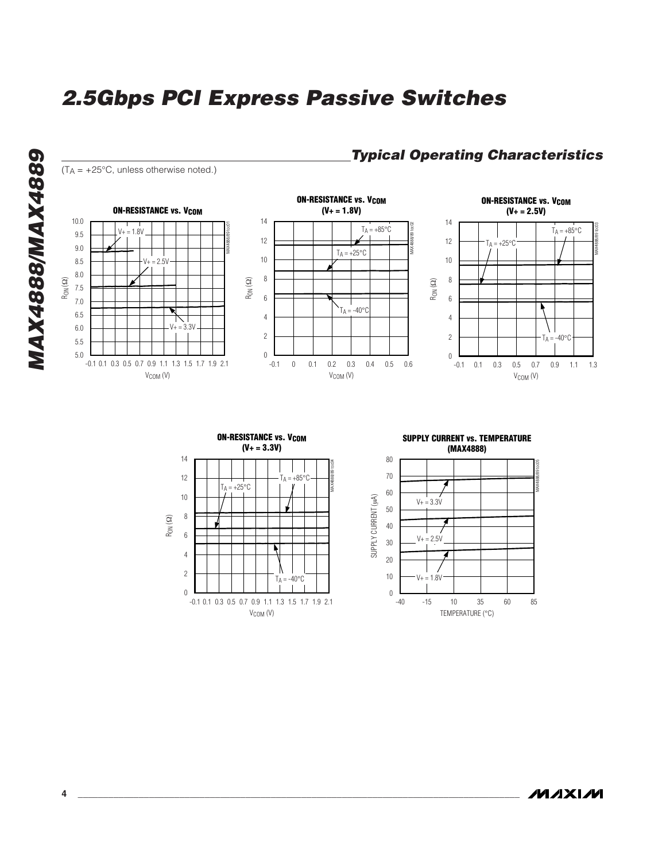





#### **MYXIM**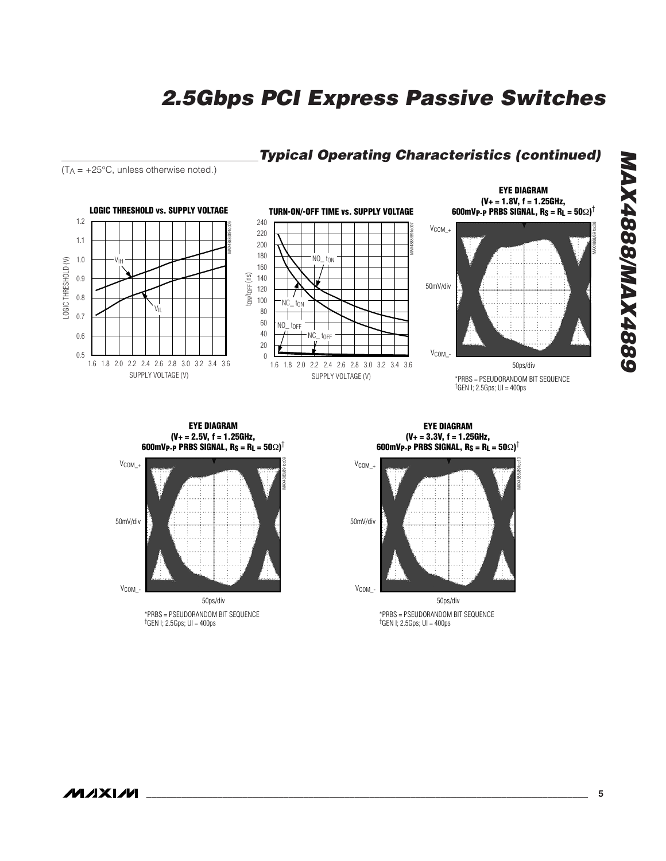### **Typical Operating Characteristics (continued)**

 $(T_A = +25^{\circ}C$ , unless otherwise noted.)



**EYE DIAGRAM (V+ = 2.5V, f = 1.25GHz, 600mVP-P PRBS SIGNAL, RS = RL = 50**Ω**)** †



**EYE DIAGRAM (V+ = 3.3V, f = 1.25GHz, 600mVP-P PRBS SIGNAL, RS = RL = 50**Ω**)** †



\*PRBS = PSEUDORANDOM BIT SEQUENCE †GEN I; 2.5Gps; UI = 400ps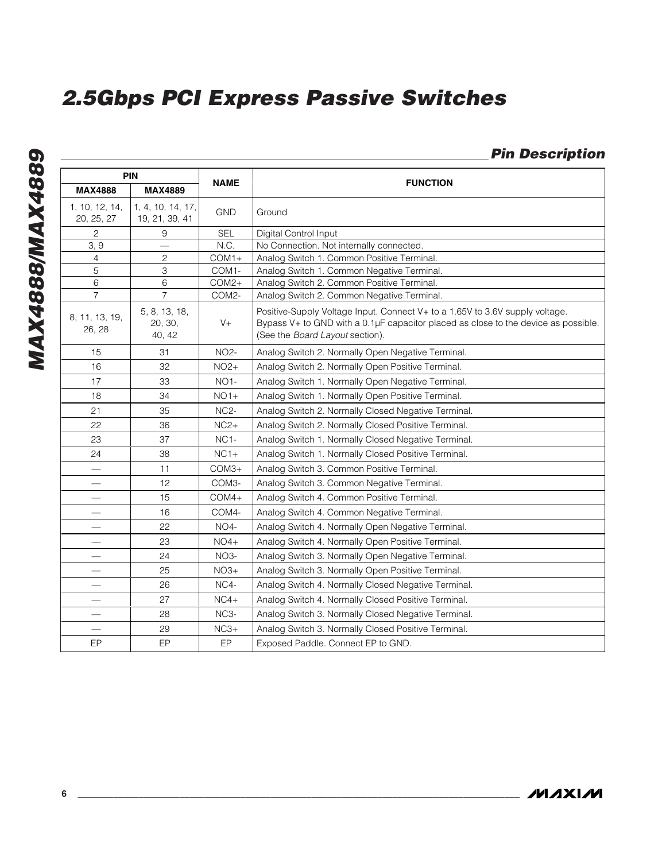### **Pin Description**

| PIN                          |                                     | <b>NAME</b>       | <b>FUNCTION</b>                                                                                                                                                                                       |  |  |  |  |  |
|------------------------------|-------------------------------------|-------------------|-------------------------------------------------------------------------------------------------------------------------------------------------------------------------------------------------------|--|--|--|--|--|
| <b>MAX4888</b>               | <b>MAX4889</b>                      |                   |                                                                                                                                                                                                       |  |  |  |  |  |
| 1, 10, 12, 14,<br>20, 25, 27 | 1, 4, 10, 14, 17,<br>19, 21, 39, 41 | <b>GND</b>        | Ground                                                                                                                                                                                                |  |  |  |  |  |
| $\mathbf{2}$                 | 9                                   | <b>SEL</b>        | Digital Control Input                                                                                                                                                                                 |  |  |  |  |  |
| 3, 9                         |                                     | N.C.              | No Connection. Not internally connected.                                                                                                                                                              |  |  |  |  |  |
| 4                            | $\mathbf{2}$                        | $COM1+$           | Analog Switch 1. Common Positive Terminal.                                                                                                                                                            |  |  |  |  |  |
| 5                            | 3                                   | COM1-             | Analog Switch 1. Common Negative Terminal.                                                                                                                                                            |  |  |  |  |  |
| 6                            | 6                                   | COM2+             | Analog Switch 2. Common Positive Terminal.                                                                                                                                                            |  |  |  |  |  |
| $\overline{7}$               | $\overline{7}$                      | COM2-             | Analog Switch 2. Common Negative Terminal.                                                                                                                                                            |  |  |  |  |  |
| 8, 11, 13, 19,<br>26, 28     | 5, 8, 13, 18,<br>20, 30,<br>40, 42  | $V +$             | Positive-Supply Voltage Input. Connect V+ to a 1.65V to 3.6V supply voltage.<br>Bypass V+ to GND with a 0.1µF capacitor placed as close to the device as possible.<br>(See the Board Layout section). |  |  |  |  |  |
| 15                           | 31                                  | NO2-              | Analog Switch 2. Normally Open Negative Terminal.                                                                                                                                                     |  |  |  |  |  |
| 16                           | 32                                  | $NO2+$            | Analog Switch 2. Normally Open Positive Terminal.                                                                                                                                                     |  |  |  |  |  |
| 17                           | 33                                  | NO <sub>1</sub> - | Analog Switch 1. Normally Open Negative Terminal.                                                                                                                                                     |  |  |  |  |  |
| 18                           | 34                                  | $NO1+$            | Analog Switch 1. Normally Open Positive Terminal.                                                                                                                                                     |  |  |  |  |  |
| 21                           | 35                                  | <b>NC2-</b>       | Analog Switch 2. Normally Closed Negative Terminal.                                                                                                                                                   |  |  |  |  |  |
| 22                           | 36                                  | $NC2+$            | Analog Switch 2. Normally Closed Positive Terminal.                                                                                                                                                   |  |  |  |  |  |
| 23                           | 37                                  | NC <sub>1</sub> - | Analog Switch 1. Normally Closed Negative Terminal.                                                                                                                                                   |  |  |  |  |  |
| 24                           | 38                                  | $NC1+$            | Analog Switch 1. Normally Closed Positive Terminal.                                                                                                                                                   |  |  |  |  |  |
|                              | 11                                  | $COM3+$           | Analog Switch 3. Common Positive Terminal.                                                                                                                                                            |  |  |  |  |  |
|                              | 12                                  | COM3-             | Analog Switch 3. Common Negative Terminal.                                                                                                                                                            |  |  |  |  |  |
|                              | 15                                  | $COM4+$           | Analog Switch 4. Common Positive Terminal.                                                                                                                                                            |  |  |  |  |  |
|                              | 16                                  | COM4-             | Analog Switch 4. Common Negative Terminal.                                                                                                                                                            |  |  |  |  |  |
|                              | 22                                  | $NO4-$            | Analog Switch 4. Normally Open Negative Terminal.                                                                                                                                                     |  |  |  |  |  |
|                              | 23                                  | $NO4+$            | Analog Switch 4. Normally Open Positive Terminal.                                                                                                                                                     |  |  |  |  |  |
|                              | 24                                  | <b>NO3-</b>       | Analog Switch 3. Normally Open Negative Terminal.                                                                                                                                                     |  |  |  |  |  |
| $\overline{\phantom{0}}$     | 25                                  | $NO3+$            | Analog Switch 3. Normally Open Positive Terminal.                                                                                                                                                     |  |  |  |  |  |
|                              | 26                                  | NC4-              | Analog Switch 4. Normally Closed Negative Terminal.                                                                                                                                                   |  |  |  |  |  |
|                              | 27                                  | $NC4+$            | Analog Switch 4. Normally Closed Positive Terminal.                                                                                                                                                   |  |  |  |  |  |
|                              | 28                                  | NC <sub>3</sub> - | Analog Switch 3. Normally Closed Negative Terminal.                                                                                                                                                   |  |  |  |  |  |
|                              | 29                                  | $NC3+$            | Analog Switch 3. Normally Closed Positive Terminal.                                                                                                                                                   |  |  |  |  |  |
| EP                           | EP                                  | EP                | Exposed Paddle. Connect EP to GND.                                                                                                                                                                    |  |  |  |  |  |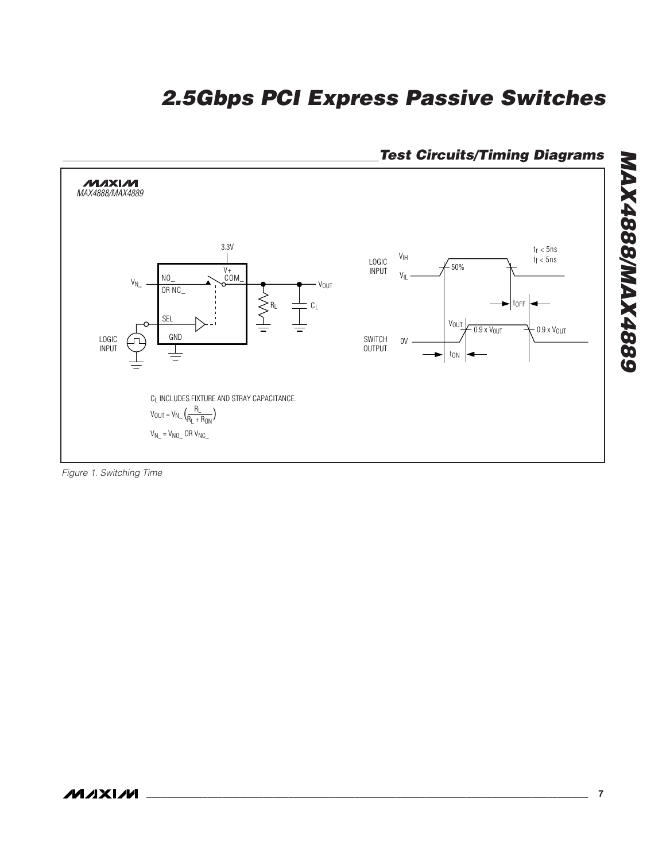

**Test Circuits/Timing Diagrams**

Figure 1. Switching Time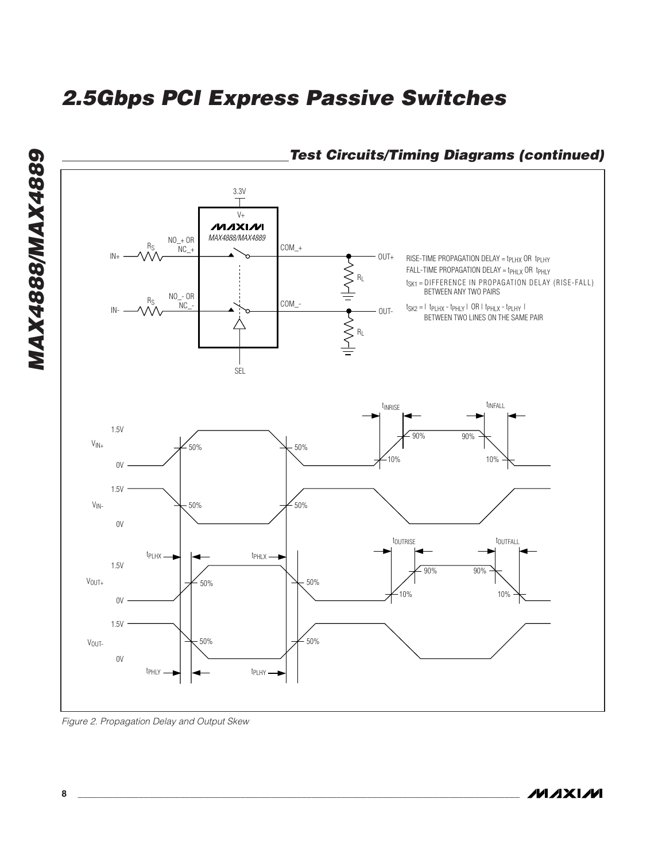

Figure 2. Propagation Delay and Output Skew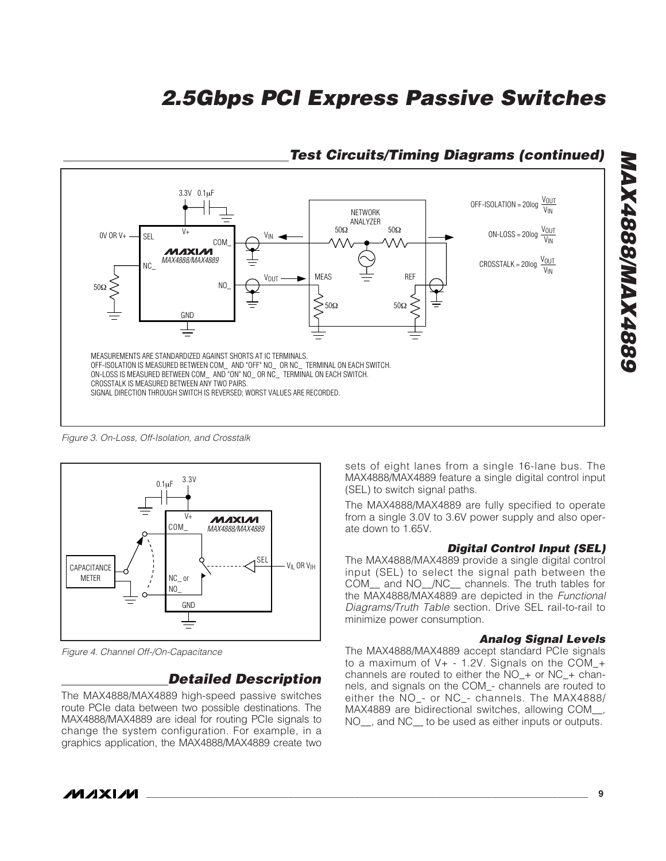

### **Test Circuits/Timing Diagrams (continued)**

Figure 3. On-Loss, Off-Isolation, and Crosstalk



Figure 4. Channel Off-/On-Capacitance

### **Detailed Description**

The MAX4888/MAX4889 high-speed passive switches route PCIe data between two possible destinations. The MAX4888/MAX4889 are ideal for routing PCIe signals to change the system configuration. For example, in a graphics application, the MAX4888/MAX4889 create two sets of eight lanes from a single 16-lane bus. The MAX4888/MAX4889 feature a single digital control input (SEL) to switch signal paths.

The MAX4888/MAX4889 are fully specified to operate from a single 3.0V to 3.6V power supply and also operate down to 1.65V.

#### **Digital Control Input (SEL)**

The MAX4888/MAX4889 provide a single digital control input (SEL) to select the signal path between the COM\_\_ and NO\_\_/NC\_\_ channels. The truth tables for the MAX4888/MAX4889 are depicted in the Functional Diagrams/Truth Table section. Drive SEL rail-to-rail to minimize power consumption.

#### **Analog Signal Levels**

The MAX4888/MAX4889 accept standard PCIe signals to a maximum of  $V_+$  - 1.2V. Signals on the COM  $+$ channels are routed to either the NO\_+ or NC\_+ channels, and signals on the COM\_- channels are routed to either the NO\_- or NC\_- channels. The MAX4888/ MAX4889 are bidirectional switches, allowing COM\_\_, NO\_\_, and NC\_\_ to be used as either inputs or outputs.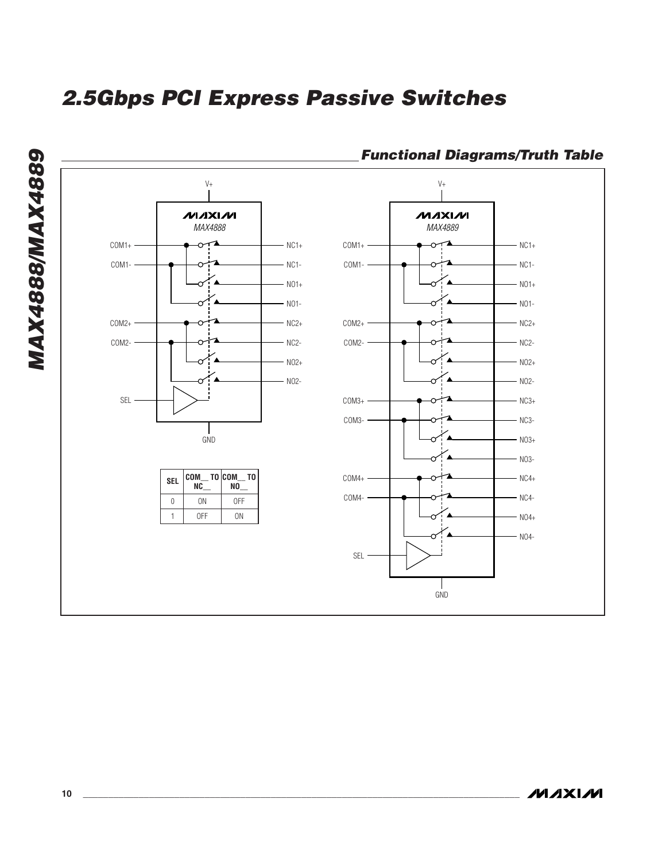

### **Functional Diagrams/Truth Table**

**MAXIM**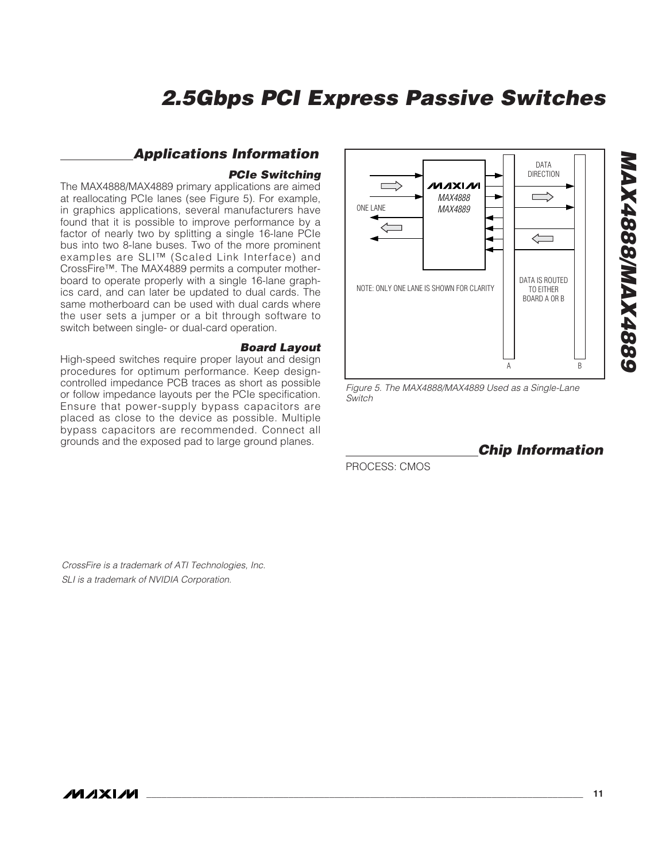### **Applications Information**

#### **PCIe Switching**

The MAX4888/MAX4889 primary applications are aimed at reallocating PCIe lanes (see Figure 5). For example, in graphics applications, several manufacturers have found that it is possible to improve performance by a factor of nearly two by splitting a single 16-lane PCIe bus into two 8-lane buses. Two of the more prominent examples are SLI™ (Scaled Link Interface) and CrossFire™. The MAX4889 permits a computer motherboard to operate properly with a single 16-lane graphics card, and can later be updated to dual cards. The same motherboard can be used with dual cards where the user sets a jumper or a bit through software to switch between single- or dual-card operation.

#### **Board Layout**

High-speed switches require proper layout and design procedures for optimum performance. Keep designcontrolled impedance PCB traces as short as possible or follow impedance layouts per the PCIe specification. Ensure that power-supply bypass capacitors are placed as close to the device as possible. Multiple bypass capacitors are recommended. Connect all grounds and the exposed pad to large ground planes.



Figure 5. The MAX4888/MAX4889 Used as a Single-Lane Switch

**Chip Information**

PROCESS: CMOS

CrossFire is a trademark of ATI Technologies, Inc. SLI is a trademark of NVIDIA Corporation.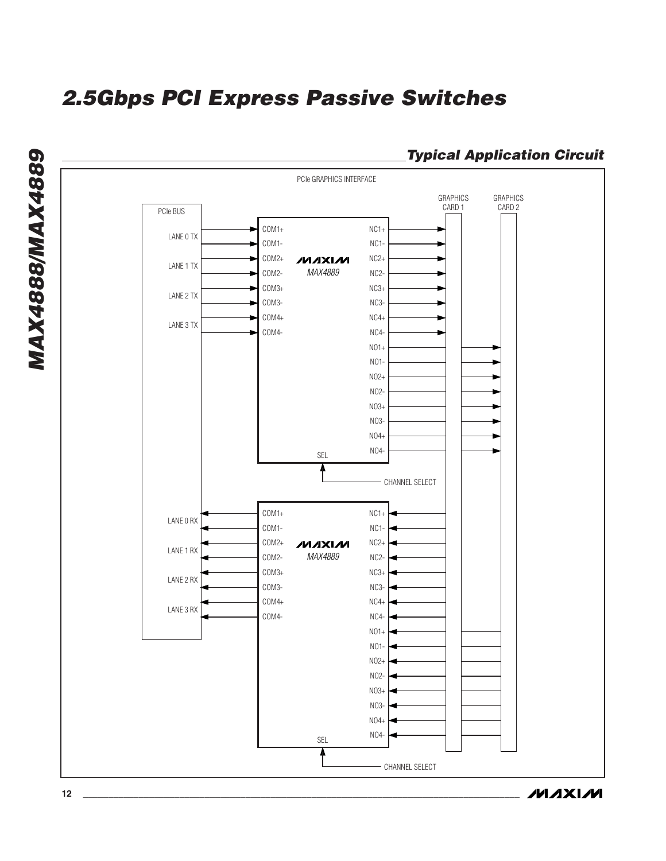

**Typical Application Circuit**

**MAXIM**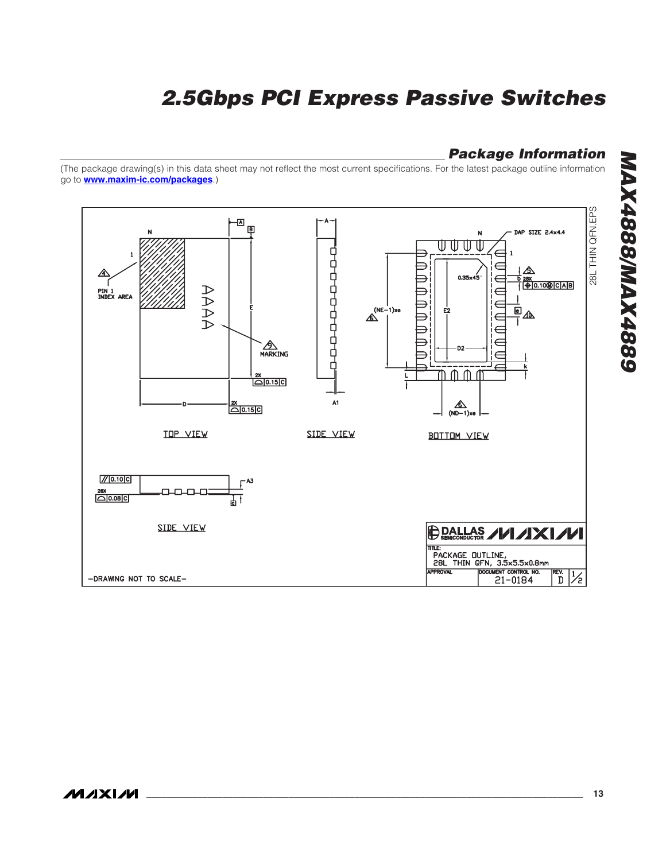### **Package Information**

(The package drawing(s) in this data sheet may not reflect the most current specifications. For the latest package outline information go to **www.maxim-ic.com/packages**.)

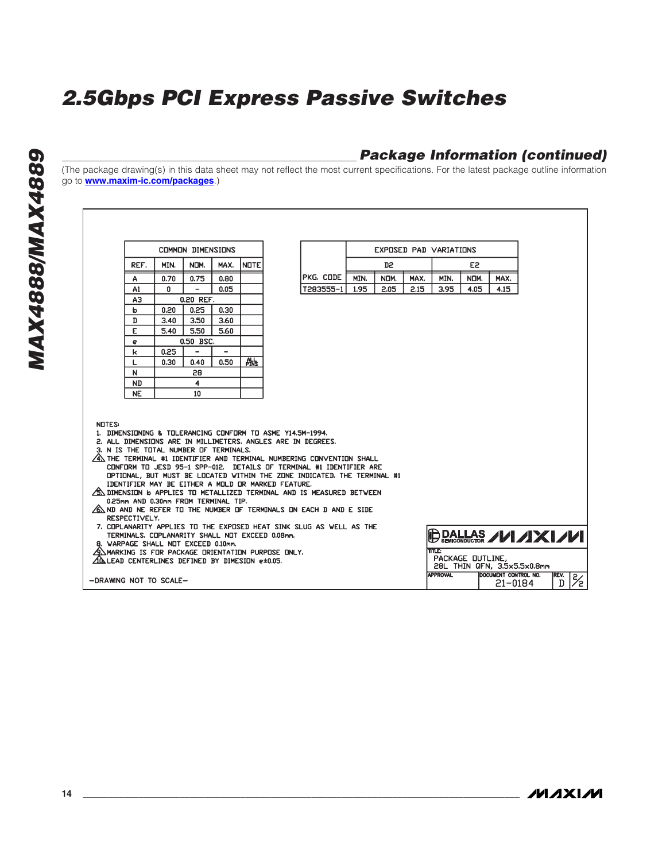### **Package Information (continued)**

(The package drawing(s) in this data sheet may not reflect the most current specifications. For the latest package outline information go to **www.maxim-ic.com/packages**.)

|                                                                                                        |                                                                                                 |      | <b>COMMON DIMENSIONS</b> |      |             |                                                                                                       |                                                                                                                                                                                                                                                                                                                                                                                                                                                                                                                                                                                                                           |      | EXPOSED PAD VARIATIONS |      |                 |                  |                                        |           |               |
|--------------------------------------------------------------------------------------------------------|-------------------------------------------------------------------------------------------------|------|--------------------------|------|-------------|-------------------------------------------------------------------------------------------------------|---------------------------------------------------------------------------------------------------------------------------------------------------------------------------------------------------------------------------------------------------------------------------------------------------------------------------------------------------------------------------------------------------------------------------------------------------------------------------------------------------------------------------------------------------------------------------------------------------------------------------|------|------------------------|------|-----------------|------------------|----------------------------------------|-----------|---------------|
|                                                                                                        | REF.                                                                                            | MIN. | NOM.                     | MAX. | <b>NOTE</b> |                                                                                                       |                                                                                                                                                                                                                                                                                                                                                                                                                                                                                                                                                                                                                           |      | D2                     |      |                 | E <sub>2</sub>   |                                        |           |               |
|                                                                                                        | А                                                                                               | 0.70 | 0.75                     | 0.80 |             |                                                                                                       | PKG. CODE                                                                                                                                                                                                                                                                                                                                                                                                                                                                                                                                                                                                                 | MIN. | NDM.                   | MAX. | MIN.            | NOM.             | MAX.                                   |           |               |
|                                                                                                        | A1                                                                                              | 0    | $\overline{\phantom{0}}$ | 0.05 |             |                                                                                                       | T283555-1                                                                                                                                                                                                                                                                                                                                                                                                                                                                                                                                                                                                                 | 1.95 | 2.05                   | 2.15 | 3.95            | 4.05             | 4.15                                   |           |               |
|                                                                                                        | A3                                                                                              |      | 0.20 REF.                |      |             |                                                                                                       |                                                                                                                                                                                                                                                                                                                                                                                                                                                                                                                                                                                                                           |      |                        |      |                 |                  |                                        |           |               |
|                                                                                                        | b                                                                                               | 0.20 | 0.25                     | 0.30 |             |                                                                                                       |                                                                                                                                                                                                                                                                                                                                                                                                                                                                                                                                                                                                                           |      |                        |      |                 |                  |                                        |           |               |
|                                                                                                        | D                                                                                               | 3.40 | 3.50                     | 3.60 |             |                                                                                                       |                                                                                                                                                                                                                                                                                                                                                                                                                                                                                                                                                                                                                           |      |                        |      |                 |                  |                                        |           |               |
|                                                                                                        | Е                                                                                               | 5.40 | 5.50                     | 5.60 |             |                                                                                                       |                                                                                                                                                                                                                                                                                                                                                                                                                                                                                                                                                                                                                           |      |                        |      |                 |                  |                                        |           |               |
|                                                                                                        | e                                                                                               |      | 0.50 BSC.                |      |             |                                                                                                       |                                                                                                                                                                                                                                                                                                                                                                                                                                                                                                                                                                                                                           |      |                        |      |                 |                  |                                        |           |               |
|                                                                                                        | k                                                                                               | 0.25 | $\overline{\phantom{0}}$ | -    |             |                                                                                                       |                                                                                                                                                                                                                                                                                                                                                                                                                                                                                                                                                                                                                           |      |                        |      |                 |                  |                                        |           |               |
|                                                                                                        | L                                                                                               | 0.30 | 0.40                     | 0.50 | 础           |                                                                                                       |                                                                                                                                                                                                                                                                                                                                                                                                                                                                                                                                                                                                                           |      |                        |      |                 |                  |                                        |           |               |
|                                                                                                        | N                                                                                               |      | 28                       |      |             |                                                                                                       |                                                                                                                                                                                                                                                                                                                                                                                                                                                                                                                                                                                                                           |      |                        |      |                 |                  |                                        |           |               |
|                                                                                                        | ND                                                                                              |      | 4                        |      |             |                                                                                                       |                                                                                                                                                                                                                                                                                                                                                                                                                                                                                                                                                                                                                           |      |                        |      |                 |                  |                                        |           |               |
|                                                                                                        | <b>NE</b>                                                                                       |      | 10                       |      |             |                                                                                                       |                                                                                                                                                                                                                                                                                                                                                                                                                                                                                                                                                                                                                           |      |                        |      |                 |                  |                                        |           |               |
| <b>NOTES:</b>                                                                                          | 3. N IS THE TOTAL NUMBER OF TERMINALS.<br>0.25mm AND 0.30mm FROM TERMINAL TIP.<br>RESPECTIVELY. |      |                          |      |             | IDENTIFIER MAY BE EITHER A MOLD OR MARKED FEATURE.<br>TERMINALS, COPLANARITY SHALL NOT EXCEED 0.08mm, | 1. DIMENSIONING & TOLERANCING CONFORM TO ASME Y14.5M-1994.<br>2. ALL DIMENSIONS ARE IN MILLIMETERS, ANGLES ARE IN DEGREES.<br>$\!\!{\times}\!\!$ the terminal #1 identifier and terminal numbering convention shall<br>CONFORM TO JESD 95-1 SPP-012. DETAILS OF TERMINAL #1 IDENTIFIER ARE<br>OPTIONAL, BUT MUST BE LOCATED WITHIN THE ZONE INDICATED. THE TERMINAL #1<br>$\sqrt{\rm S}$ dimension 6 applies to metallized terminal and is measured between $\sqrt{\rm S}$<br>$\%$ nd and ne refer to the number of terminals on each d and e side<br>7. COPLANARITY APPLIES TO THE EXPOSED HEAT SINK SLUG AS WELL AS THE |      |                        |      |                 |                  | <b>DALLAS ////XI///</b>                |           |               |
| AN MARKING IS FOR PACKAGE ORIENTATION PURPOSE ONLY.<br>⊿Ò⊾LEAD CENTERLINES DEFINED BY DIMESION e±0.05. | 8. WARPAGE SHALL NOT EXCEED 0.10mm.                                                             |      |                          |      |             |                                                                                                       |                                                                                                                                                                                                                                                                                                                                                                                                                                                                                                                                                                                                                           |      |                        |      | <b>TTLE:</b>    | PACKAGE OUTLINE, | 28L THIN QFN, 3.5x5.5x0.8mm            |           |               |
| -DRAWING NOT TO SCALE-                                                                                 |                                                                                                 |      |                          |      |             |                                                                                                       |                                                                                                                                                                                                                                                                                                                                                                                                                                                                                                                                                                                                                           |      |                        |      | <b>APPROVAL</b> |                  | <b>DOCUMENT CONTROL NO.</b><br>21-0184 | REV.<br>D | $\frac{2}{2}$ |
|                                                                                                        |                                                                                                 |      |                          |      |             |                                                                                                       |                                                                                                                                                                                                                                                                                                                                                                                                                                                                                                                                                                                                                           |      |                        |      |                 |                  |                                        |           |               |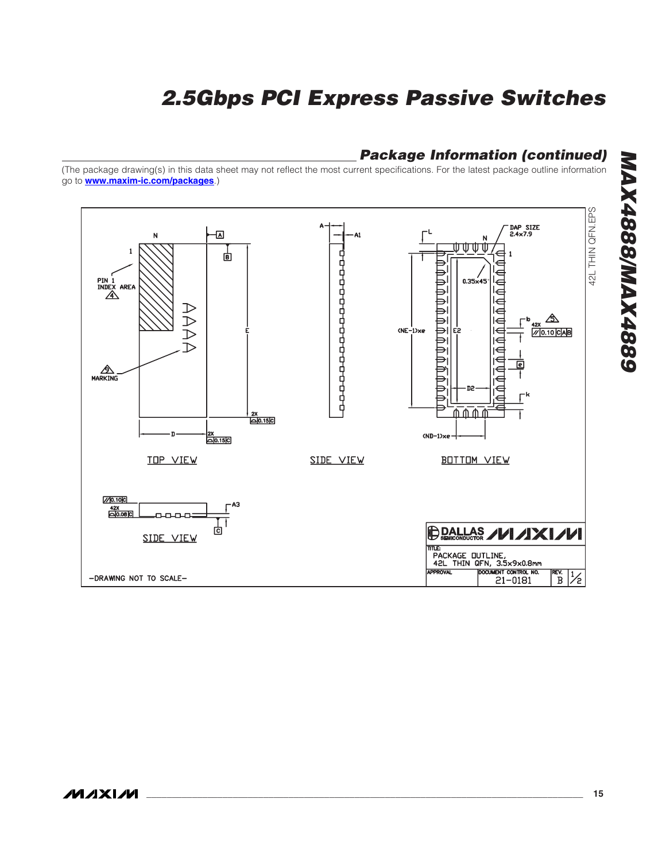### **Package Information (continued)**

(The package drawing(s) in this data sheet may not reflect the most current specifications. For the latest package outline information go to **www.maxim-ic.com/packages**.)